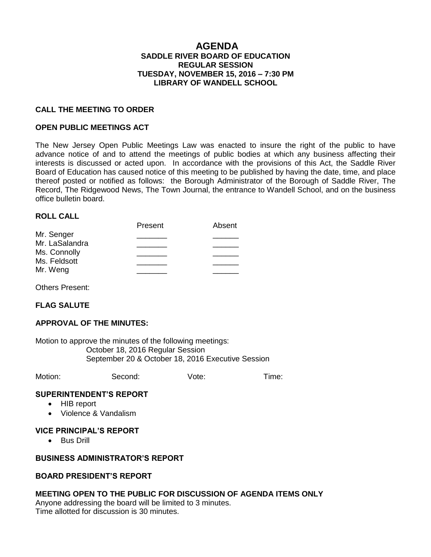### **AGENDA SADDLE RIVER BOARD OF EDUCATION REGULAR SESSION TUESDAY, NOVEMBER 15, 2016 – 7:30 PM LIBRARY OF WANDELL SCHOOL**

#### **CALL THE MEETING TO ORDER**

#### **OPEN PUBLIC MEETINGS ACT**

The New Jersey Open Public Meetings Law was enacted to insure the right of the public to have advance notice of and to attend the meetings of public bodies at which any business affecting their interests is discussed or acted upon. In accordance with the provisions of this Act, the Saddle River Board of Education has caused notice of this meeting to be published by having the date, time, and place thereof posted or notified as follows: the Borough Administrator of the Borough of Saddle River, The Record, The Ridgewood News, The Town Journal, the entrance to Wandell School, and on the business office bulletin board.

#### **ROLL CALL**

|                | Present | Absent |
|----------------|---------|--------|
| Mr. Senger     |         |        |
| Mr. LaSalandra |         |        |
| Ms. Connolly   |         |        |
| Ms. Feldsott   |         |        |
| Mr. Weng       |         |        |

Others Present:

## **FLAG SALUTE**

#### **APPROVAL OF THE MINUTES:**

Motion to approve the minutes of the following meetings: October 18, 2016 Regular Session September 20 & October 18, 2016 Executive Session

Motion: Second: Vote: Time:

#### **SUPERINTENDENT'S REPORT**

- HIB report
- Violence & Vandalism

#### **VICE PRINCIPAL'S REPORT**

• Bus Drill

#### **BUSINESS ADMINISTRATOR'S REPORT**

#### **BOARD PRESIDENT'S REPORT**

#### **MEETING OPEN TO THE PUBLIC FOR DISCUSSION OF AGENDA ITEMS ONLY**

Anyone addressing the board will be limited to 3 minutes. Time allotted for discussion is 30 minutes.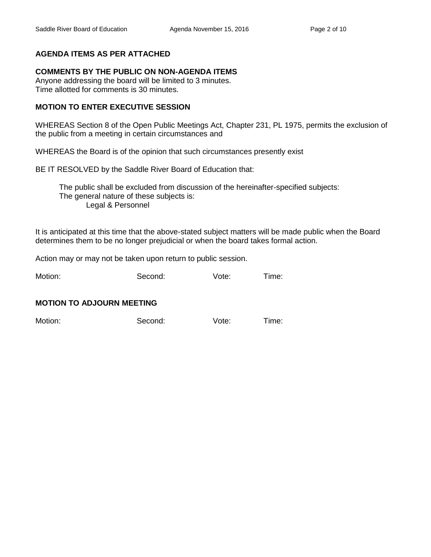# **AGENDA ITEMS AS PER ATTACHED**

## **COMMENTS BY THE PUBLIC ON NON-AGENDA ITEMS**

Anyone addressing the board will be limited to 3 minutes. Time allotted for comments is 30 minutes.

## **MOTION TO ENTER EXECUTIVE SESSION**

WHEREAS Section 8 of the Open Public Meetings Act, Chapter 231, PL 1975, permits the exclusion of the public from a meeting in certain circumstances and

WHEREAS the Board is of the opinion that such circumstances presently exist

BE IT RESOLVED by the Saddle River Board of Education that:

 The public shall be excluded from discussion of the hereinafter-specified subjects: The general nature of these subjects is: Legal & Personnel

It is anticipated at this time that the above-stated subject matters will be made public when the Board determines them to be no longer prejudicial or when the board takes formal action.

Action may or may not be taken upon return to public session.

Motion: Second: Vote: Time:

## **MOTION TO ADJOURN MEETING**

Motion: Second: Vote: Time: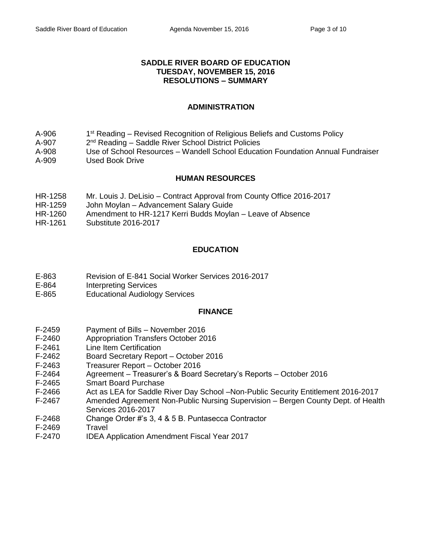#### **SADDLE RIVER BOARD OF EDUCATION TUESDAY, NOVEMBER 15, 2016 RESOLUTIONS – SUMMARY**

#### **ADMINISTRATION**

- A-906 1<sup>st</sup> Reading – Revised Recognition of Religious Beliefs and Customs Policy
- A-907  $2<sup>nd</sup>$  Reading – Saddle River School District Policies
- A-908 Use of School Resources Wandell School Education Foundation Annual Fundraiser
- A-909 Used Book Drive

## **HUMAN RESOURCES**

- HR-1258 Mr. Louis J. DeLisio Contract Approval from County Office 2016-2017
- HR-1259 John Moylan Advancement Salary Guide
- HR-1260 Amendment to HR-1217 Kerri Budds Moylan Leave of Absence
- HR-1261 Substitute 2016-2017

# **EDUCATION**

- E-863 Revision of E-841 Social Worker Services 2016-2017
- E-864 Interpreting Services
- E-865 Educational Audiology Services

## **FINANCE**

- F-2459 Payment of Bills November 2016
- F-2460 Appropriation Transfers October 2016
- F-2461 Line Item Certification
- F-2462 Board Secretary Report October 2016
- F-2463 Treasurer Report October 2016
- F-2464 Agreement Treasurer's & Board Secretary's Reports October 2016
- F-2465 Smart Board Purchase
- F-2466 Act as LEA for Saddle River Day School –Non-Public Security Entitlement 2016-2017
- F-2467 Amended Agreement Non-Public Nursing Supervision Bergen County Dept. of Health Services 2016-2017
- F-2468 Change Order #'s 3, 4 & 5 B. Puntasecca Contractor
- F-2469 Travel
- F-2470 IDEA Application Amendment Fiscal Year 2017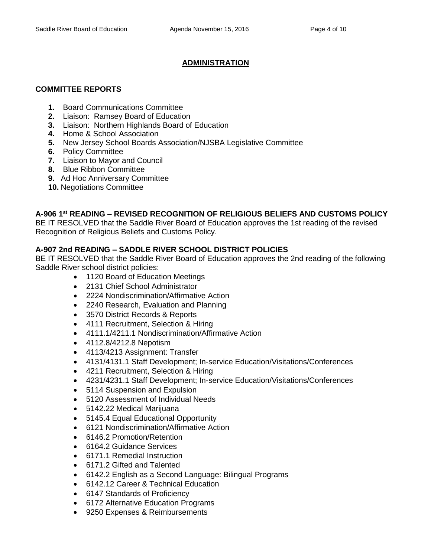# **ADMINISTRATION**

# **COMMITTEE REPORTS**

- **1.** Board Communications Committee
- **2.** Liaison: Ramsey Board of Education
- **3.** Liaison: Northern Highlands Board of Education
- **4.** Home & School Association
- **5.** New Jersey School Boards Association/NJSBA Legislative Committee
- **6.** Policy Committee
- **7.** Liaison to Mayor and Council
- **8.** Blue Ribbon Committee
- **9.** Ad Hoc Anniversary Committee
- **10.** Negotiations Committee

# **A-906 1st READING – REVISED RECOGNITION OF RELIGIOUS BELIEFS AND CUSTOMS POLICY**

BE IT RESOLVED that the Saddle River Board of Education approves the 1st reading of the revised Recognition of Religious Beliefs and Customs Policy.

## **A-907 2nd READING – SADDLE RIVER SCHOOL DISTRICT POLICIES**

BE IT RESOLVED that the Saddle River Board of Education approves the 2nd reading of the following Saddle River school district policies:

- 1120 Board of Education Meetings
- 2131 Chief School Administrator
- 2224 Nondiscrimination/Affirmative Action
- 2240 Research, Evaluation and Planning
- 3570 District Records & Reports
- 4111 Recruitment, Selection & Hiring
- 4111.1/4211.1 Nondiscrimination/Affirmative Action
- 4112.8/4212.8 Nepotism
- 4113/4213 Assignment: Transfer
- 4131/4131.1 Staff Development; In-service Education/Visitations/Conferences
- 4211 Recruitment, Selection & Hiring
- 4231/4231.1 Staff Development; In-service Education/Visitations/Conferences
- 5114 Suspension and Expulsion
- 5120 Assessment of Individual Needs
- 5142.22 Medical Marijuana
- 5145.4 Equal Educational Opportunity
- 6121 Nondiscrimination/Affirmative Action
- 6146.2 Promotion/Retention
- 6164.2 Guidance Services
- 6171.1 Remedial Instruction
- 6171.2 Gifted and Talented
- 6142.2 English as a Second Language: Bilingual Programs
- 6142.12 Career & Technical Education
- 6147 Standards of Proficiency
- 6172 Alternative Education Programs
- 9250 Expenses & Reimbursements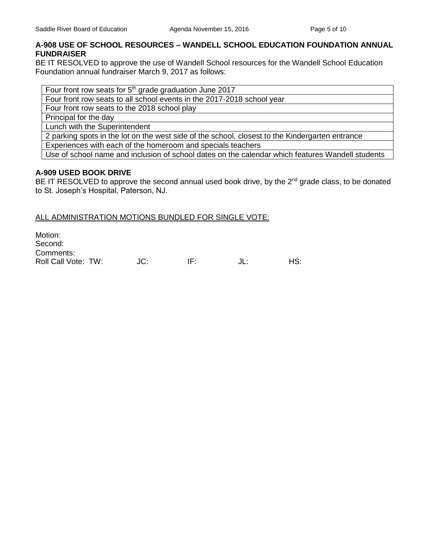## **A-908 USE OF SCHOOL RESOURCES – WANDELL SCHOOL EDUCATION FOUNDATION ANNUAL FUNDRAISER**

BE IT RESOLVED to approve the use of Wandell School resources for the Wandell School Education Foundation annual fundraiser March 9, 2017 as follows:

Four front row seats for  $5<sup>th</sup>$  grade graduation June 2017

Four front row seats to all school events in the 2017-2018 school year

Four front row seats to the 2018 school play

Principal for the day

Lunch with the Superintendent

2 parking spots in the lot on the west side of the school, closest to the Kindergarten entrance

Experiences with each of the homeroom and specials teachers

Use of school name and inclusion of school dates on the calendar which features Wandell students

#### **A-909 USED BOOK DRIVE**

BE IT RESOLVED to approve the second annual used book drive, by the 2<sup>nd</sup> grade class, to be donated to St. Joseph's Hospital, Paterson, NJ.

#### ALL ADMINISTRATION MOTIONS BUNDLED FOR SINGLE VOTE:

Motion: Second: Comments: Roll Call Vote: TW:  $JC:$  IF:  $JL:$  HS: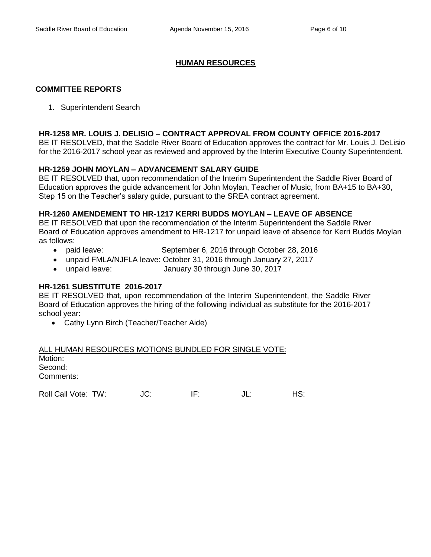## **HUMAN RESOURCES**

#### **COMMITTEE REPORTS**

1. Superintendent Search

#### **HR-1258 MR. LOUIS J. DELISIO – CONTRACT APPROVAL FROM COUNTY OFFICE 2016-2017**

BE IT RESOLVED, that the Saddle River Board of Education approves the contract for Mr. Louis J. DeLisio for the 2016-2017 school year as reviewed and approved by the Interim Executive County Superintendent.

#### **HR-1259 JOHN MOYLAN – ADVANCEMENT SALARY GUIDE**

BE IT RESOLVED that, upon recommendation of the Interim Superintendent the Saddle River Board of Education approves the guide advancement for John Moylan, Teacher of Music, from BA+15 to BA+30, Step 15 on the Teacher's salary guide, pursuant to the SREA contract agreement.

#### **HR-1260 AMENDEMENT TO HR-1217 KERRI BUDDS MOYLAN – LEAVE OF ABSENCE**

BE IT RESOLVED that upon the recommendation of the Interim Superintendent the Saddle River Board of Education approves amendment to HR-1217 for unpaid leave of absence for Kerri Budds Moylan as follows:

- paid leave: September 6, 2016 through October 28, 2016
- unpaid FMLA/NJFLA leave: October 31, 2016 through January 27, 2017
- unpaid leave: January 30 through June 30, 2017

## **HR-1261 SUBSTITUTE 2016-2017**

BE IT RESOLVED that, upon recommendation of the Interim Superintendent, the Saddle River Board of Education approves the hiring of the following individual as substitute for the 2016-2017 school year:

• Cathy Lynn Birch (Teacher/Teacher Aide)

ALL HUMAN RESOURCES MOTIONS BUNDLED FOR SINGLE VOTE: Motion: Second: Comments:

Roll Call Vote: TW:  $JC$ : IF:  $JL$ : HS: HS: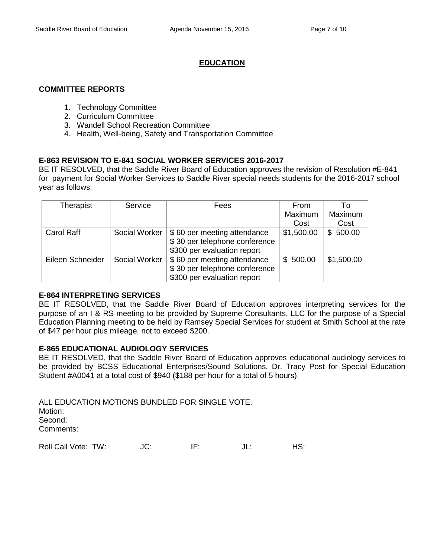## **EDUCATION**

#### **COMMITTEE REPORTS**

- 1. Technology Committee
- 2. Curriculum Committee
- 3. Wandell School Recreation Committee
- 4. Health, Well-being, Safety and Transportation Committee

#### **E-863 REVISION TO E-841 SOCIAL WORKER SERVICES 2016-2017**

BE IT RESOLVED, that the Saddle River Board of Education approves the revision of Resolution #E-841 for payment for Social Worker Services to Saddle River special needs students for the 2016-2017 school year as follows:

| Therapist         | Service       | Fees                          | From       | Τo         |
|-------------------|---------------|-------------------------------|------------|------------|
|                   |               |                               | Maximum    | Maximum    |
|                   |               |                               | Cost       | Cost       |
| <b>Carol Raff</b> | Social Worker | \$60 per meeting attendance   | \$1,500.00 | \$500.00   |
|                   |               | \$30 per telephone conference |            |            |
|                   |               | \$300 per evaluation report   |            |            |
| Eileen Schneider  | Social Worker | \$60 per meeting attendance   | \$500.00   | \$1,500.00 |
|                   |               | \$30 per telephone conference |            |            |
|                   |               | \$300 per evaluation report   |            |            |

#### **E-864 INTERPRETING SERVICES**

BE IT RESOLVED, that the Saddle River Board of Education approves interpreting services for the purpose of an I & RS meeting to be provided by Supreme Consultants, LLC for the purpose of a Special Education Planning meeting to be held by Ramsey Special Services for student at Smith School at the rate of \$47 per hour plus mileage, not to exceed \$200.

### **E-865 EDUCATIONAL AUDIOLOGY SERVICES**

BE IT RESOLVED, that the Saddle River Board of Education approves educational audiology services to be provided by BCSS Educational Enterprises/Sound Solutions, Dr. Tracy Post for Special Education Student #A0041 at a total cost of \$940 (\$188 per hour for a total of 5 hours).

ALL EDUCATION MOTIONS BUNDLED FOR SINGLE VOTE: Motion: Second: Comments:

Roll Call Vote: TW:  $JC$ : IF:  $JL$ : IL: HS: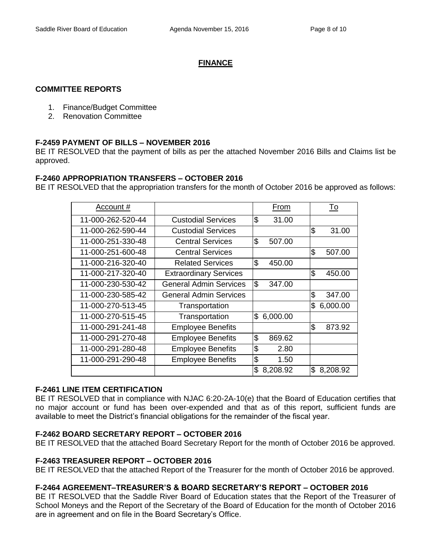# **FINANCE**

## **COMMITTEE REPORTS**

- 1. Finance/Budget Committee
- 2. Renovation Committee

## **F-2459 PAYMENT OF BILLS – NOVEMBER 2016**

BE IT RESOLVED that the payment of bills as per the attached November 2016 Bills and Claims list be approved.

## **F-2460 APPROPRIATION TRANSFERS – OCTOBER 2016**

BE IT RESOLVED that the appropriation transfers for the month of October 2016 be approved as follows:

| Account #         |                               | From           | To              |
|-------------------|-------------------------------|----------------|-----------------|
| 11-000-262-520-44 | <b>Custodial Services</b>     | \$<br>31.00    |                 |
| 11-000-262-590-44 | <b>Custodial Services</b>     |                | \$<br>31.00     |
| 11-000-251-330-48 | <b>Central Services</b>       | \$<br>507.00   |                 |
| 11-000-251-600-48 | <b>Central Services</b>       |                | \$<br>507.00    |
| 11-000-216-320-40 | <b>Related Services</b>       | \$<br>450.00   |                 |
| 11-000-217-320-40 | <b>Extraordinary Services</b> |                | \$<br>450.00    |
| 11-000-230-530-42 | General Admin Services        | \$<br>347.00   |                 |
| 11-000-230-585-42 | <b>General Admin Services</b> |                | \$<br>347.00    |
| 11-000-270-513-45 | Transportation                |                | \$<br>6,000.00  |
| 11-000-270-515-45 | Transportation                | 6,000.00<br>\$ |                 |
| 11-000-291-241-48 | <b>Employee Benefits</b>      |                | \$<br>873.92    |
| 11-000-291-270-48 | <b>Employee Benefits</b>      | \$<br>869.62   |                 |
| 11-000-291-280-48 | <b>Employee Benefits</b>      | \$<br>2.80     |                 |
| 11-000-291-290-48 | <b>Employee Benefits</b>      | \$<br>1.50     |                 |
|                   |                               | \$<br>8,208.92 | 8,208.92<br>\$. |

## **F-2461 LINE ITEM CERTIFICATION**

BE IT RESOLVED that in compliance with NJAC 6:20-2A-10(e) that the Board of Education certifies that no major account or fund has been over-expended and that as of this report, sufficient funds are available to meet the District's financial obligations for the remainder of the fiscal year.

# **F-2462 BOARD SECRETARY REPORT – OCTOBER 2016**

BE IT RESOLVED that the attached Board Secretary Report for the month of October 2016 be approved.

## **F-2463 TREASURER REPORT – OCTOBER 2016**

BE IT RESOLVED that the attached Report of the Treasurer for the month of October 2016 be approved.

## **F-2464 AGREEMENT–TREASURER'S & BOARD SECRETARY'S REPORT – OCTOBER 2016**

BE IT RESOLVED that the Saddle River Board of Education states that the Report of the Treasurer of School Moneys and the Report of the Secretary of the Board of Education for the month of October 2016 are in agreement and on file in the Board Secretary's Office.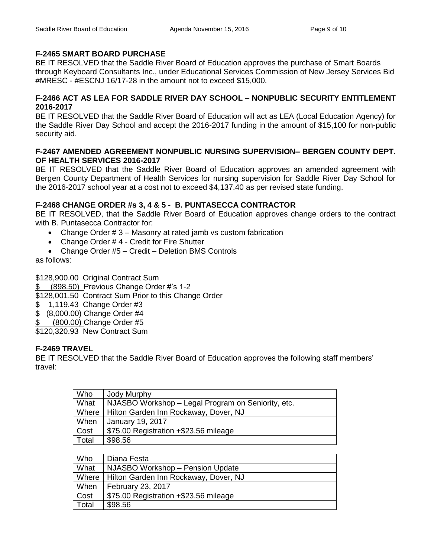# **F-2465 SMART BOARD PURCHASE**

BE IT RESOLVED that the Saddle River Board of Education approves the purchase of Smart Boards through Keyboard Consultants Inc., under Educational Services Commission of New Jersey Services Bid #MRESC - #ESCNJ 16/17-28 in the amount not to exceed \$15,000.

## **F-2466 ACT AS LEA FOR SADDLE RIVER DAY SCHOOL – NONPUBLIC SECURITY ENTITLEMENT 2016-2017**

BE IT RESOLVED that the Saddle River Board of Education will act as LEA (Local Education Agency) for the Saddle River Day School and accept the 2016-2017 funding in the amount of \$15,100 for non-public security aid.

## **F-2467 AMENDED AGREEMENT NONPUBLIC NURSING SUPERVISION– BERGEN COUNTY DEPT. OF HEALTH SERVICES 2016-2017**

BE IT RESOLVED that the Saddle River Board of Education approves an amended agreement with Bergen County Department of Health Services for nursing supervision for Saddle River Day School for the 2016-2017 school year at a cost not to exceed \$4,137.40 as per revised state funding.

# **F-2468 CHANGE ORDER #s 3, 4 & 5 - B. PUNTASECCA CONTRACTOR**

BE IT RESOLVED, that the Saddle River Board of Education approves change orders to the contract with B. Puntasecca Contractor for:

- Change Order # 3 Masonry at rated jamb vs custom fabrication
- Change Order #4 Credit for Fire Shutter
- Change Order #5 Credit Deletion BMS Controls

as follows:

\$128,900.00 Original Contract Sum

\$ (898.50) Previous Change Order #'s 1-2

\$128,001.50 Contract Sum Prior to this Change Order

- \$ 1,119.43 Change Order #3
- \$ (8,000.00) Change Order #4
- (800.00) Change Order #5

\$120,320.93 New Contract Sum

## **F-2469 TRAVEL**

BE IT RESOLVED that the Saddle River Board of Education approves the following staff members' travel:

| Who     | Jody Murphy                                        |
|---------|----------------------------------------------------|
| What    | NJASBO Workshop - Legal Program on Seniority, etc. |
| Where I | Hilton Garden Inn Rockaway, Dover, NJ              |
| When    | <b>January 19, 2017</b>                            |
| Cost    | \$75.00 Registration +\$23.56 mileage              |
| Total   | \$98.56                                            |

| Who   | Diana Festa                           |
|-------|---------------------------------------|
| What  | NJASBO Workshop - Pension Update      |
| Where | Hilton Garden Inn Rockaway, Dover, NJ |
| When  | <b>February 23, 2017</b>              |
| Cost  | \$75.00 Registration +\$23.56 mileage |
| Total | \$98.56                               |